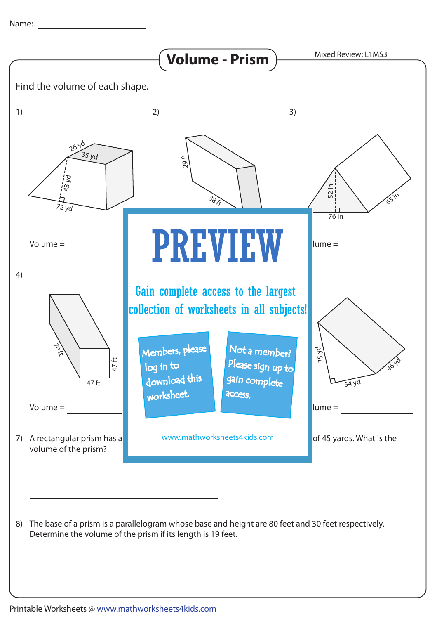